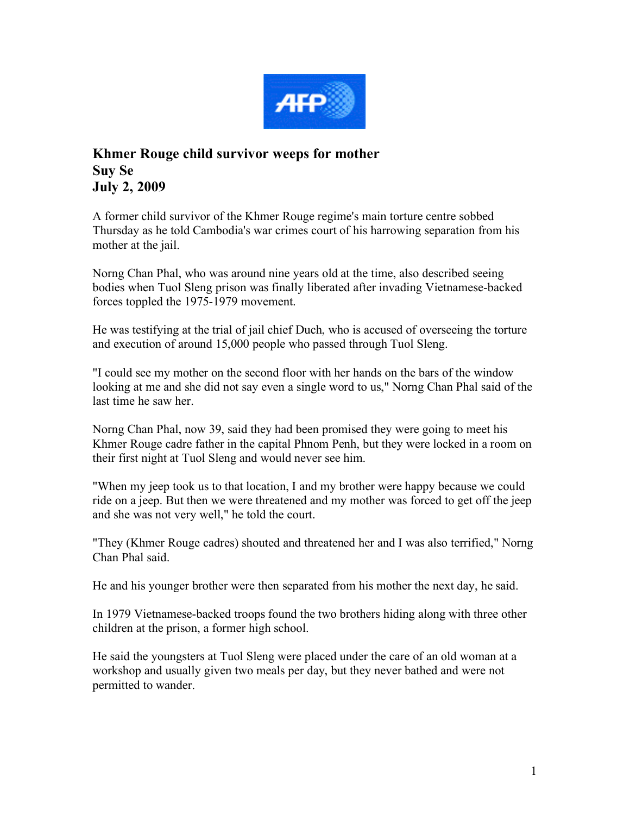

## **Khmer Rouge child survivor weeps for mother Suy Se July 2, 2009**

A former child survivor of the Khmer Rouge regime's main torture centre sobbed Thursday as he told Cambodia's war crimes court of his harrowing separation from his mother at the jail.

Norng Chan Phal, who was around nine years old at the time, also described seeing bodies when Tuol Sleng prison was finally liberated after invading Vietnamese-backed forces toppled the 1975-1979 movement.

He was testifying at the trial of jail chief Duch, who is accused of overseeing the torture and execution of around 15,000 people who passed through Tuol Sleng.

"I could see my mother on the second floor with her hands on the bars of the window looking at me and she did not say even a single word to us," Norng Chan Phal said of the last time he saw her.

Norng Chan Phal, now 39, said they had been promised they were going to meet his Khmer Rouge cadre father in the capital Phnom Penh, but they were locked in a room on their first night at Tuol Sleng and would never see him.

"When my jeep took us to that location, I and my brother were happy because we could ride on a jeep. But then we were threatened and my mother was forced to get off the jeep and she was not very well," he told the court.

"They (Khmer Rouge cadres) shouted and threatened her and I was also terrified," Norng Chan Phal said.

He and his younger brother were then separated from his mother the next day, he said.

In 1979 Vietnamese-backed troops found the two brothers hiding along with three other children at the prison, a former high school.

He said the youngsters at Tuol Sleng were placed under the care of an old woman at a workshop and usually given two meals per day, but they never bathed and were not permitted to wander.